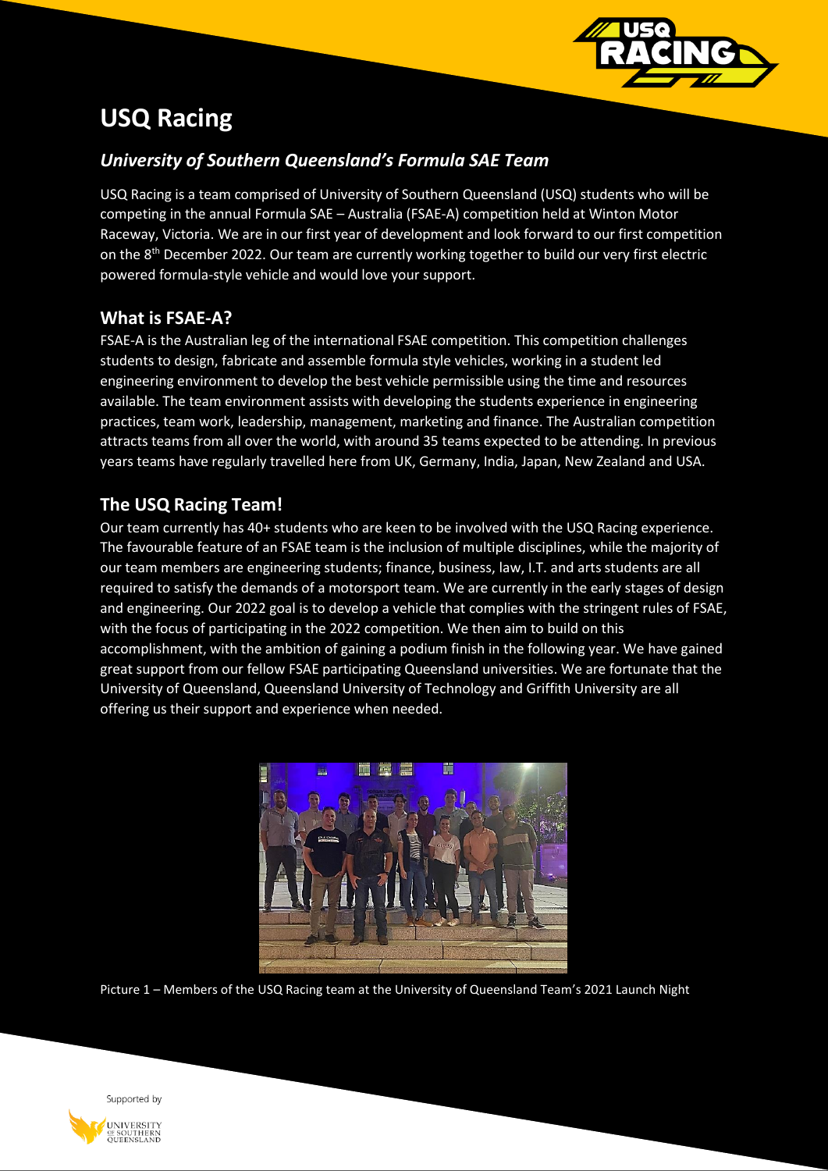

# **USQ Racing**

# *University of Southern Queensland's Formula SAE Team*

USQ Racing is a team comprised of University of Southern Queensland (USQ) students who will be competing in the annual Formula SAE – Australia (FSAE-A) competition held at Winton Motor Raceway, Victoria. We are in our first year of development and look forward to our first competition on the 8<sup>th</sup> December 2022. Our team are currently working together to build our very first electric powered formula-style vehicle and would love your support.

## **What is FSAE-A?**

FSAE-A is the Australian leg of the international FSAE competition. This competition challenges students to design, fabricate and assemble formula style vehicles, working in a student led engineering environment to develop the best vehicle permissible using the time and resources available. The team environment assists with developing the students experience in engineering practices, team work, leadership, management, marketing and finance. The Australian competition attracts teams from all over the world, with around 35 teams expected to be attending. In previous years teams have regularly travelled here from UK, Germany, India, Japan, New Zealand and USA.

# **The USQ Racing Team!**

Our team currently has 40+ students who are keen to be involved with the USQ Racing experience. The favourable feature of an FSAE team is the inclusion of multiple disciplines, while the majority of our team members are engineering students; finance, business, law, I.T. and arts students are all required to satisfy the demands of a motorsport team. We are currently in the early stages of design and engineering. Our 2022 goal is to develop a vehicle that complies with the stringent rules of FSAE, with the focus of participating in the 2022 competition. We then aim to build on this accomplishment, with the ambition of gaining a podium finish in the following year. We have gained great support from our fellow FSAE participating Queensland universities. We are fortunate that the University of Queensland, Queensland University of Technology and Griffith University are all offering us their support and experience when needed.



Picture 1 – Members of the USQ Racing team at the University of Queensland Team's 2021 Launch Night